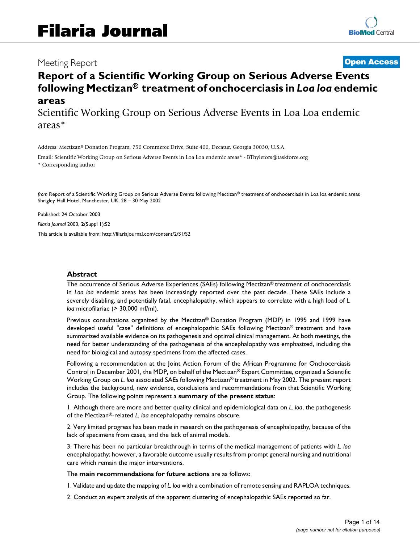## Meeting Report **[Open Access](http://www.biomedcentral.com/info/about/charter/)**

# **Report of a Scientific Working Group on Serious Adverse Events following Mectizan® treatment of onchocerciasis in** *Loa loa* **endemic areas**

Scientific Working Group on Serious Adverse Events in Loa Loa endemic areas\*

Address: Mectizan® Donation Program, 750 Commerce Drive, Suite 400, Decatur, Georgia 30030, U.S.A

Email: Scientific Working Group on Serious Adverse Events in Loa Loa endemic areas\* - BThylefors@taskforce.org \* Corresponding author

*from* Report of a Scientific Working Group on Serious Adverse Events following Mectizan® treatment of onchocerciasis in Loa loa endemic areas Shrigley Hall Hotel, Manchester, UK, 28 – 30 May 2002

Published: 24 October 2003

*Filaria Journal* 2003, **2**(Suppl 1):S2

[This article is available from: http://filariajournal.com/content/2/S1/S2](http://filariajournal.com/content/2/S1/S2)

#### **Abstract**

The occurrence of Serious Adverse Experiences (SAEs) following Mectizan® treatment of onchocerciasis in *Loa loa* endemic areas has been increasingly reported over the past decade. These SAEs include a severely disabling, and potentially fatal, encephalopathy, which appears to correlate with a high load of *L. loa* microfilariae (> 30,000 mf/ml).

Previous consultations organized by the Mectizan® Donation Program (MDP) in 1995 and 1999 have developed useful "case" definitions of encephalopathic SAEs following Mectizan® treatment and have summarized available evidence on its pathogenesis and optimal clinical management. At both meetings, the need for better understanding of the pathogenesis of the encephalopathy was emphasized, including the need for biological and autopsy specimens from the affected cases.

Following a recommendation at the Joint Action Forum of the African Programme for Onchocerciasis Control in December 2001, the MDP, on behalf of the Mectizan® Expert Committee, organized a Scientific Working Group on *L. loa* associated SAEs following Mectizan® treatment in May 2002. The present report includes the background, new evidence, conclusions and recommendations from that Scientific Working Group. The following points represent a **summary of the present status**:

1. Although there are more and better quality clinical and epidemiological data on *L. loa*, the pathogenesis of the Mectizan®-related *L. loa* encephalopathy remains obscure.

2. Very limited progress has been made in research on the pathogenesis of encephalopathy, because of the lack of specimens from cases, and the lack of animal models.

3. There has been no particular breakthrough in terms of the medical management of patients with *L. loa* encephalopathy; however, a favorable outcome usually results from prompt general nursing and nutritional care which remain the major interventions.

The **main recommendations for future actions** are as follows:

1. Validate and update the mapping of *L. loa* with a combination of remote sensing and RAPLOA techniques.

2. Conduct an expert analysis of the apparent clustering of encephalopathic SAEs reported so far.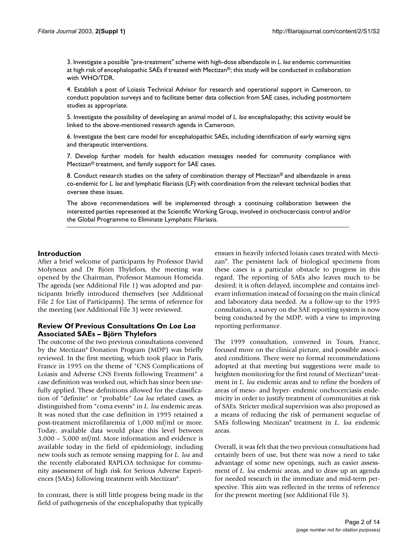3. Investigate a possible "pre-treatment" scheme with high-dose albendazole in *L. loa* endemic communities at high risk of encephalopathic SAEs if treated with Mectizan<sup>®</sup>; this study will be conducted in collaboration with WHO/TDR.

4. Establish a post of Loiasis Technical Advisor for research and operational support in Cameroon, to conduct population surveys and to facilitate better data collection from SAE cases, including postmortem studies as appropriate.

5. Investigate the possibility of developing an animal model of *L. loa* encephalopathy; this activity would be linked to the above-mentioned research agenda in Cameroon.

6. Investigate the best care model for encephalopathic SAEs, including identification of early warning signs and therapeutic interventions.

7. Develop further models for health education messages needed for community compliance with Mectizan® treatment, and family support for SAE cases.

8. Conduct research studies on the safety of combination therapy of Mectizan® and albendazole in areas co-endemic for *L. loa* and lymphatic filariasis (LF) with coordination from the relevant technical bodies that oversee these issues.

The above recommendations will be implemented through a continuing collaboration between the interested parties represented at the Scientific Working Group, involved in onchocerciasis control and/or the Global Programme to Eliminate Lymphatic Filariasis.

## **Introduction**

After a brief welcome of participants by Professor David Molyneux and Dr Björn Thylefors, the meeting was opened by the Chairman, Professor Mamoun Homeida. The agenda (see Additional File 1) was adopted and participants briefly introduced themselves (see Additional File 2 for List of Participants). The terms of reference for the meeting (see Additional File 3) were reviewed.

## **Review Of Previous Consultations On** *Loa Loa*  **Associated SAEs – Björn Thylefors**

The outcome of the two previous consultations convened by the Mectizan® Donation Program (MDP) was briefly reviewed. In the first meeting, which took place in Paris, France in 1995 on the theme of "CNS Complications of Loiasis and Adverse CNS Events following Treatment" a case definition was worked out, which has since been usefully applied. These definitions allowed for the classification of "definite" or "probable" *Loa loa* related cases, as distinguished from "coma events" in *L. loa* endemic areas. It was noted that the case definition in 1995 retained a post-treatment microfilaremia of 1,000 mf/ml or more. Today, available data would place this level between 3,000 – 5,000 mf/ml. More information and evidence is available today in the field of epidemiology, including new tools such as remote sensing mapping for *L. loa* and the recently elaborated RAPLOA technique for community assessment of high risk for Serious Adverse Experiences (SAEs) following treatment with Mectizan®.

In contrast, there is still little progress being made in the field of pathogenesis of the encephalopathy that typically ensues in heavily infected loiasis cases treated with Mectizan®. The persistent lack of biological specimens from these cases is a particular obstacle to progress in this regard. The reporting of SAEs also leaves much to be desired; it is often delayed, incomplete and contains irrelevant information instead of focusing on the main clinical and laboratory data needed. As a follow-up to the 1995 consultation, a survey on the SAE reporting system is now being conducted by the MDP, with a view to improving reporting performance.

The 1999 consultation, convened in Tours, France, focused more on the clinical picture, and possible associated conditions. There were no formal recommendations adopted at that meeting but suggestions were made to heighten monitoring for the first round of Mectizan® treatment in *L. loa* endemic areas and to refine the borders of areas of meso- and hyper- endemic onchocerciasis endemicity in order to justify treatment of communities at risk of SAEs. Stricter medical supervision was also proposed as a means of reducing the risk of permanent sequelae of SAEs following Mectizan® treatment in *L. loa* endemic areas.

Overall, it was felt that the two previous consultations had certainly been of use, but there was now a need to take advantage of some new openings, such as easier assessment of *L. loa* endemic areas, and to draw up an agenda for needed research in the immediate and mid-term perspective. This aim was reflected in the terms of reference for the present meeting (see Additional File 3).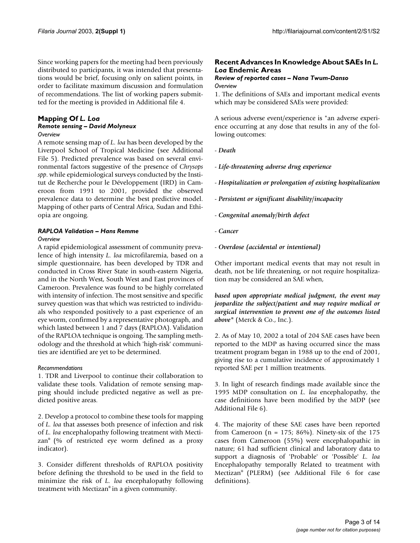Since working papers for the meeting had been previously distributed to participants, it was intended that presentations would be brief, focusing only on salient points, in order to facilitate maximum discussion and formulation of recommendations. The list of working papers submitted for the meeting is provided in Additional file 4.

## **Mapping Of** *L. Loa*

#### *Remote sensing – David Molyneux Overview*

A remote sensing map of *L. loa* has been developed by the Liverpool School of Tropical Medicine (see Additional File 5). Predicted prevalence was based on several environmental factors suggestive of the presence of *Chrysops spp*. while epidemiological surveys conducted by the Institut de Recherche pour le Développement (IRD) in Cameroon from 1991 to 2001, provided the observed prevalence data to determine the best predictive model. Mapping of other parts of Central Africa, Sudan and Ethiopia are ongoing.

#### *RAPLOA Validation – Hans Remme*

#### *Overview*

A rapid epidemiological assessment of community prevalence of high intensity *L. loa* microfilaremia, based on a simple questionnaire, has been developed by TDR and conducted in Cross River State in south-eastern Nigeria, and in the North West, South West and East provinces of Cameroon. Prevalence was found to be highly correlated with intensity of infection. The most sensitive and specific survey question was that which was restricted to individuals who responded positively to a past experience of an eye worm, confirmed by a representative photograph, and which lasted between 1 and 7 days (RAPLOA). Validation of the RAPLOA technique is ongoing. The sampling methodology and the threshold at which 'high-risk' communities are identified are yet to be determined.

#### *Recommendations*

1. TDR and Liverpool to continue their collaboration to validate these tools. Validation of remote sensing mapping should include predicted negative as well as predicted positive areas.

2. Develop a protocol to combine these tools for mapping of *L. loa* that assesses both presence of infection and risk of *L. loa* encephalopathy following treatment with Mectizan® (% of restricted eye worm defined as a proxy indicator).

3. Consider different thresholds of RAPLOA positivity before defining the threshold to be used in the field to minimize the risk of *L. loa* encephalopathy following treatment with Mectizan® in a given community.

## **Recent Advances In Knowledge About SAEs In** *L. Loa* **Endemic Areas**

#### *Review of reported cases – Nana Twum-Danso Overview*

1. The definitions of SAEs and important medical events which may be considered SAEs were provided:

A serious adverse event/experience is "an adverse experience occurring at any dose that results in any of the following outcomes:

#### - *Death*

- *Life-threatening adverse drug experience*
- *Hospitalization or prolongation of existing hospitalization*
- *Persistent or significant disability/incapacity*
- *Congenital anomaly/birth defect*
- *Cancer*
- *Overdose (accidental or intentional)*

Other important medical events that may not result in death, not be life threatening, or not require hospitalization may be considered an SAE when,

*based upon appropriate medical judgment, the event may jeopardize the subject/patient and may require medical or surgical intervention to prevent one of the outcomes listed above"* (Merck & Co., Inc.).

2. As of May 10, 2002 a total of 204 SAE cases have been reported to the MDP as having occurred since the mass treatment program began in 1988 up to the end of 2001, giving rise to a cumulative incidence of approximately 1 reported SAE per 1 million treatments.

3. In light of research findings made available since the 1995 MDP consultation on *L. loa* encephalopathy, the case definitions have been modified by the MDP (see Additional File 6).

4. The majority of these SAE cases have been reported from Cameroon ( $n = 175$ ; 86%). Ninety-six of the 175 cases from Cameroon (55%) were encephalopathic in nature; 61 had sufficient clinical and laboratory data to support a diagnosis of 'Probable' or 'Possible' *L. loa* Encephalopathy temporally Related to treatment with Mectizan® (PLERM) (see Additional File 6 for case definitions).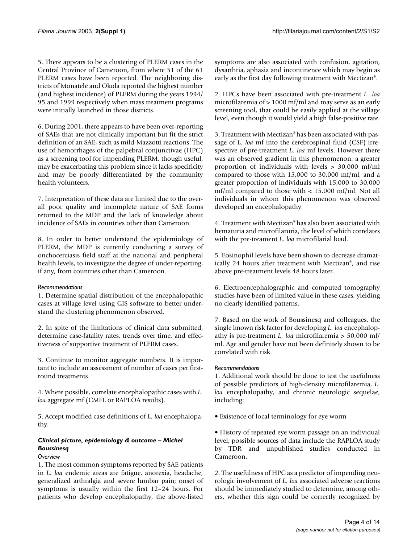5. There appears to be a clustering of PLERM cases in the Central Province of Cameroon, from where 51 of the 61 PLERM cases have been reported. The neighboring districts of Monatélé and Okola reported the highest number (and highest incidence) of PLERM during the years 1994/ 95 and 1999 respectively when mass treatment programs were initially launched in those districts.

6. During 2001, there appears to have been over-reporting of SAEs that are not clinically important but fit the strict definition of an SAE, such as mild-Mazzotti reactions. The use of hemorrhages of the palpebral conjunctivae (HPC) as a screening tool for impending PLERM, though useful, may be exacerbating this problem since it lacks specificity and may be poorly differentiated by the community health volunteers.

7. Interpretation of these data are limited due to the overall poor quality and incomplete nature of SAE forms returned to the MDP and the lack of knowledge about incidence of SAEs in countries other than Cameroon.

8. In order to better understand the epidemiology of PLERM, the MDP is currently conducting a survey of onchocerciasis field staff at the national and peripheral health levels, to investigate the degree of under-reporting, if any, from countries other than Cameroon.

## *Recommendations*

1. Determine spatial distribution of the encephalopathic cases at village level using GIS software to better understand the clustering phenomenon observed.

2. In spite of the limitations of clinical data submitted, determine case-fatality rates, trends over time, and effectiveness of supportive treatment of PLERM cases.

3. Continue to monitor aggregate numbers. It is important to include an assessment of number of cases per firstround treatments.

4. Where possible, correlate encephalopathic cases with *L. loa* aggregate mf (CMFL or RAPLOA results).

5. Accept modified case definitions of *L. loa* encephalopathy.

## *Clinical picture, epidemiology & outcome – Michel Boussinesq*

## *Overview*

1. The most common symptoms reported by SAE patients in *L. loa* endemic areas are fatigue, anorexia, headache, generalized arthralgia and severe lumbar pain; onset of symptoms is usually within the first 12–24 hours. For patients who develop encephalopathy, the above-listed symptoms are also associated with confusion, agitation, dysarthria, aphasia and incontinence which may begin as early as the first day following treatment with Mectizan®.

2. HPCs have been associated with pre-treatment *L. loa* microfilaremia of > 1000 mf/ml and may serve as an early screening tool, that could be easily applied at the village level, even though it would yield a high false-positive rate.

3. Treatment with Mectizan® has been associated with passage of *L. loa* mf into the cerebrospinal fluid (CSF) irrespective of pre-treatment *L. loa* mf levels. However there was an observed gradient in this phenomenon: a greater proportion of individuals with levels > 30,000 mf/ml compared to those with 15,000 to 30,000 mf/ml, and a greater proportion of individuals with 15,000 to 30,000 mf/ml compared to those with < 15,000 mf/ml. Not all individuals in whom this phenomenon was observed developed an encephalopathy.

4. Treatment with Mectizan® has also been associated with hematuria and microfilaruria, the level of which correlates with the pre-treament *L. loa* microfilarial load.

5. Eosinophil levels have been shown to decrease dramatically 24 hours after treatment with Mectizan®, and rise above pre-treatment levels 48 hours later.

6. Electroencephalographic and computed tomography studies have been of limited value in these cases, yielding no clearly identified patterns.

7. Based on the work of Boussinesq and colleagues, the single known risk factor for developing *L. loa* encephalopathy is pre-treatment *L. loa* microfilaremia > 50,000 mf/ ml. Age and gender have not been definitely shown to be correlated with risk.

#### *Recommendations*

1. Additional work should be done to test the usefulness of possible predictors of high-density microfilaremia, *L. loa* encephalopathy, and chronic neurologic sequelae, including:

• Existence of local terminology for eye worm

• History of repeated eye worm passage on an individual level; possible sources of data include the RAPLOA study by TDR and unpublished studies conducted in Cameroon.

2. The usefulness of HPC as a predictor of impending neurologic involvement of *L. loa* associated adverse reactions should be immediately studied to determine, among others, whether this sign could be correctly recognized by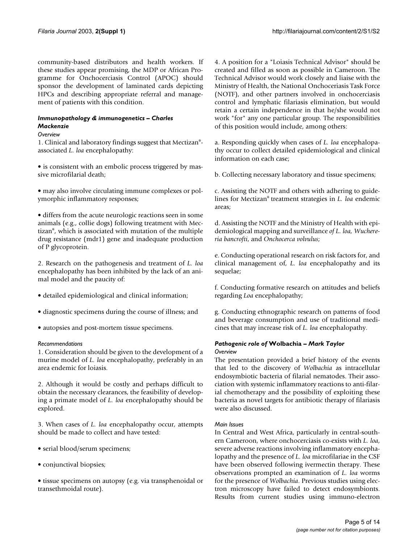community-based distributors and health workers. If these studies appear promising, the MDP or African Programme for Onchocerciasis Control (APOC) should sponsor the development of laminated cards depicting HPCs and describing appropriate referral and management of patients with this condition.

## *Immunopathology & immunogenetics – Charles Mackenzie*

#### *Overview*

1. Clinical and laboratory findings suggest that Mectizan® associated *L. loa* encephalopathy:

• is consistent with an embolic process triggered by massive microfilarial death;

• may also involve circulating immune complexes or polymorphic inflammatory responses;

• differs from the acute neurologic reactions seen in some animals (e.g., collie dogs) following treatment with Mectizan®, which is associated with mutation of the multiple drug resistance (mdr1) gene and inadequate production of P glycoprotein.

2. Research on the pathogenesis and treatment of *L. loa* encephalopathy has been inhibited by the lack of an animal model and the paucity of:

- detailed epidemiological and clinical information;
- diagnostic specimens during the course of illness; and
- autopsies and post-mortem tissue specimens.

#### *Recommendations*

1. Consideration should be given to the development of a murine model of *L. loa* encephalopathy, preferably in an area endemic for loiasis.

2. Although it would be costly and perhaps difficult to obtain the necessary clearances, the feasibility of developing a primate model of *L. loa* encephalopathy should be explored.

3. When cases of *L. loa* encephalopathy occur, attempts should be made to collect and have tested:

- serial blood/serum specimens;
- conjunctival biopsies;

• tissue specimens on autopsy (e.g. via transphenoidal or transethmoidal route).

4. A position for a "Loiasis Technical Advisor" should be created and filled as soon as possible in Cameroon. The Technical Advisor would work closely and liaise with the Ministry of Health, the National Onchoceriasis Task Force (NOTF), and other partners involved in onchocerciasis control and lymphatic filariasis elimination, but would retain a certain independence in that he/she would not work "for" any one particular group. The responsibilities of this position would include, among others:

a. Responding quickly when cases of *L. loa* encephalopathy occur to collect detailed epidemiological and clinical information on each case;

b. Collecting necessary laboratory and tissue specimens;

c. Assisting the NOTF and others with adhering to guidelines for Mectizan® treatment strategies in *L. loa* endemic areas;

d. Assisting the NOTF and the Ministry of Health with epidemiological mapping and surveillance *of L. loa, Wuchereria bancrofti*, and *Onchocerca volvulus*;

e. Conducting operational research on risk factors for, and clinical management of, *L. loa* encephalopathy and its sequelae;

f. Conducting formative research on attitudes and beliefs regarding *Loa* encephalopathy;

g. Conducting ethnographic research on patterns of food and beverage consumption and use of traditional medicines that may increase risk of *L. loa* encephalopathy.

#### *Pathogenic role of* **Wolbachia** *– Mark Taylor Overview*

The presentation provided a brief history of the events that led to the discovery of *Wolbachia* as intracellular endosymbiotic bacteria of filarial nematodes. Their association with systemic inflammatory reactions to anti-filarial chemotherapy and the possibility of exploiting these bacteria as novel targets for antibiotic therapy of filariasis were also discussed.

#### *Main Issues*

In Central and West Africa, particularly in central-southern Cameroon, where onchocerciasis co-exists with *L. loa*, severe adverse reactions involving inflammatory encephalopathy and the presence of *L. loa* microfilariae in the CSF have been observed following ivermectin therapy. These observations prompted an examination of *L. loa* worms for the presence of *Wolbachia*. Previous studies using electron microscopy have failed to detect endosymbionts. Results from current studies using immuno-electron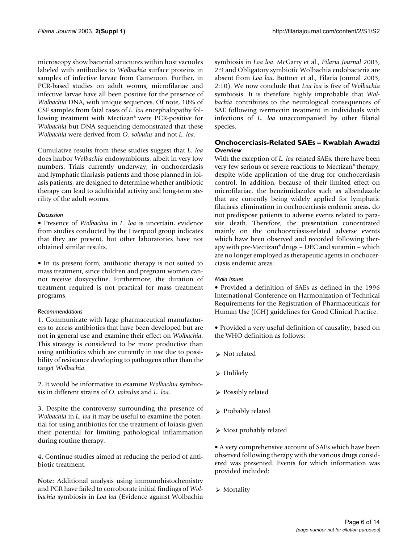microscopy show bacterial structures within host vacuoles labeled with antibodies to *Wolbachia* surface proteins in samples of infective larvae from Cameroon. Further, in PCR-based studies on adult worms, microfilariae and infective larvae have all been positive for the presence of *Wolbachia* DNA, with unique sequences. Of note, 10% of CSF samples from fatal cases of *L. loa* encephalopathy following treatment with Mectizan® were PCR-positive for *Wolbachia* but DNA sequencing demonstrated that these *Wolbachia* were derived from *O. volvulus* and not *L. loa*.

Cumulative results from these studies suggest that *L. loa* does harbor *Wolbachia* endosymbionts, albeit in very low numbers. Trials currently underway, in onchocerciasis and lymphatic filariasis patients and those planned in loiasis patients, are designed to determine whether antibiotic therapy can lead to adulticidal activity and long-term sterility of the adult worms.

#### *Discussion*

• Presence of *Wolbachia* in *L. loa* is uncertain, evidence from studies conducted by the Liverpool group indicates that they are present, but other laboratories have not obtained similar results.

• In its present form, antibiotic therapy is not suited to mass treatment, since children and pregnant women cannot receive doxycycline. Furthermore, the duration of treatment required is not practical for mass treatment programs.

## *Recommendations*

1. Communicate with large pharmaceutical manufacturers to access antibiotics that have been developed but are not in general use and examine their effect on *Wolbachia*. This strategy is considered to be more productive than using antibiotics which are currently in use due to possibility of resistance developing to pathogens other than the target *Wolbachia.*

2. It would be informative to examine *Wolbachia* symbiosis in different strains of *O. volvulus* and *L. loa.*

3. Despite the controversy surrounding the presence of *Wolbachia* in *L. loa* it may be useful to examine the potential for using antibiotics for the treatment of loiasis given their potential for limiting pathological inflammation during routine therapy.

4. Continue studies aimed at reducing the period of antibiotic treatment.

**Note:** Additional analysis using immunohistochemistry and PCR have failed to corroborate initial findings of *Wolbachia* symbiosis in *Loa loa* (Evidence against Wolbachia symbiosis in *Loa loa*. McGarry et al., *Filaria Journal* 2003, 2:9 and Obligatory symbiotic Wolbachia endobacteria are absent from *Loa loa*. Büttner et al., Filaria Journal 2003, 2:10). We now conclude that *Loa loa* is free of *Wolbachia* symbiosis. It is therefore highly improbable that *Wolbachia* contributes to the neurological consequences of SAE following ivermectin treatment in individuals with infections of *L. loa* unaccompanied by other filarial species.

## **Onchocerciasis-Related SAEs – Kwablah Awadzi** *Overview*

With the exception of *L. loa* related SAEs, there have been very few serious or severe reactions to Mectizan® therapy, despite wide application of the drug for onchocerciasis control. In addition, because of their limited effect on microfilariae, the benzimidazoles such as albendazole that are currently being widely applied for lymphatic filariasis elimination in onchocerciasis endemic areas, do not predispose patients to adverse events related to parasite death. Therefore, the presentation concentrated mainly on the onchocerciasis-related adverse events which have been observed and recorded following therapy with pre-Mectizan® drugs – DEC and suramin – which are no longer employed as therapeutic agents in onchocerciasis endemic areas.

#### *Main Issues*

• Provided a definition of SAEs as defined in the 1996 International Conference on Harmonization of Technical Requirements for the Registration of Pharmaceuticals for Human Use (ICH) guidelines for Good Clinical Practice.

• Provided a very useful definition of causality, based on the WHO definition as follows:

- Not related ¾
- $\blacktriangleright$  Unlikely
- Possibly related ¾
- Probably related ¾
- Most probably related ¾

• A very comprehensive account of SAEs which have been observed following therapy with the various drugs considered was presented. Events for which information was provided included:

Mortality ¾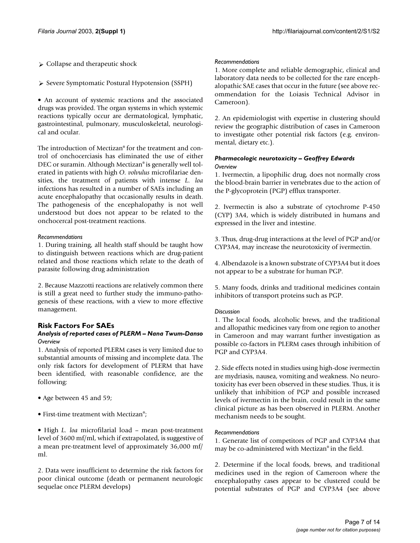- $\triangleright$  Collapse and therapeutic shock
- ► Severe Symptomatic Postural Hypotension (SSPH)

• An account of systemic reactions and the associated drugs was provided. The organ systems in which systemic reactions typically occur are dermatological, lymphatic, gastrointestinal, pulmonary, musculoskeletal, neurological and ocular.

The introduction of Mectizan® for the treatment and control of onchocerciasis has eliminated the use of either DEC or suramin. Although Mectizan® is generally well tolerated in patients with high *O. volvulus* microfilariae densities, the treatment of patients with intense *L. loa* infections has resulted in a number of SAEs including an acute encephalopathy that occasionally results in death. The pathogenesis of the encephalopathy is not well understood but does not appear to be related to the onchocercal post-treatment reactions.

## *Recommendations*

1. During training, all health staff should be taught how to distinguish between reactions which are drug-patient related and those reactions which relate to the death of parasite following drug administration

2. Because Mazzotti reactions are relatively common there is still a great need to further study the immuno-pathogenesis of these reactions, with a view to more effective management.

## **Risk Factors For SAEs**

#### *Analysis of reported cases of PLERM – Nana Twum-Danso Overview*

1. Analysis of reported PLERM cases is very limited due to substantial amounts of missing and incomplete data. The only risk factors for development of PLERM that have been identified, with reasonable confidence, are the following:

- Age between 45 and 59;
- First-time treatment with Mectizan®;

• High *L. loa* microfilarial load – mean post-treatment level of 3600 mf/ml, which if extrapolated, is suggestive of a mean pre-treatment level of approximately 36,000 mf/ ml.

2. Data were insufficient to determine the risk factors for poor clinical outcome (death or permanent neurologic sequelae once PLERM develops)

## *Recommendations*

1. More complete and reliable demographic, clinical and laboratory data needs to be collected for the rare encephalopathic SAE cases that occur in the future (see above recommendation for the Loiasis Technical Advisor in Cameroon).

2. An epidemiologist with expertise in clustering should review the geographic distribution of cases in Cameroon to investigate other potential risk factors (e.g. environmental, dietary etc.).

#### *Pharmacologic neurotoxicity – Geoffrey Edwards Overview*

1. Ivermectin, a lipophilic drug, does not normally cross the blood-brain barrier in vertebrates due to the action of the P-glycoprotein (PGP) efflux transporter.

2. Ivermectin is also a substrate of cytochrome P-450 (CYP) 3A4, which is widely distributed in humans and expressed in the liver and intestine.

3. Thus, drug-drug interactions at the level of PGP and/or CYP3A4, may increase the neurotoxicity of ivermectin.

4. Albendazole is a known substrate of CYP3A4 but it does not appear to be a substrate for human PGP.

5. Many foods, drinks and traditional medicines contain inhibitors of transport proteins such as PGP.

## *Discussion*

1. The local foods, alcoholic brews, and the traditional and allopathic medicines vary from one region to another in Cameroon and may warrant further investigation as possible co-factors in PLERM cases through inhibition of PGP and CYP3A4.

2. Side effects noted in studies using high-dose ivermectin are mydriasis, nausea, vomiting and weakness. No neurotoxicity has ever been observed in these studies. Thus, it is unlikely that inhibition of PGP and possible increased levels of ivermectin in the brain, could result in the same clinical picture as has been observed in PLERM. Another mechanism needs to be sought.

## *Recommendations*

1. Generate list of competitors of PGP and CYP3A4 that may be co-administered with Mectizan® in the field.

2. Determine if the local foods, brews, and traditional medicines used in the region of Cameroon where the encephalopathy cases appear to be clustered could be potential substrates of PGP and CYP3A4 (see above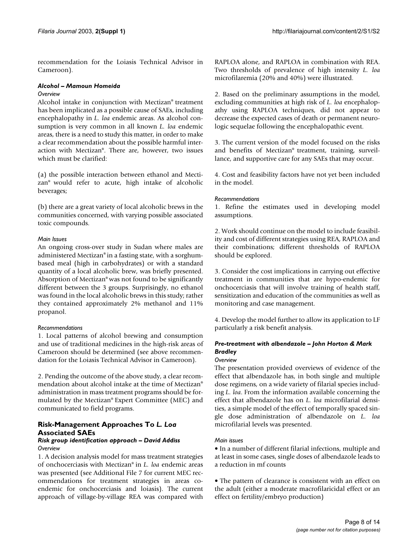recommendation for the Loiasis Technical Advisor in Cameroon).

## *Alcohol – Mamoun Homeida*

#### *Overview*

Alcohol intake in conjunction with Mectizan® treatment has been implicated as a possible cause of SAEs, including encephalopathy in *L. loa* endemic areas. As alcohol consumption is very common in all known *L. loa* endemic areas, there is a need to study this matter, in order to make a clear recommendation about the possible harmful interaction with Mectizan®. There are, however, two issues which must be clarified:

(a) the possible interaction between ethanol and Mectizan® would refer to acute, high intake of alcoholic beverages;

(b) there are a great variety of local alcoholic brews in the communities concerned, with varying possible associated toxic compounds.

## *Main Issues*

An ongoing cross-over study in Sudan where males are administered Mectizan® in a fasting state, with a sorghumbased meal (high in carbohydrates) or with a standard quantity of a local alcoholic brew, was briefly presented. Absorption of Mectizan® was not found to be significantly different between the 3 groups. Surprisingly, no ethanol was found in the local alcoholic brews in this study; rather they contained approximately 2% methanol and 11% propanol.

## *Recommendations*

1. Local patterns of alcohol brewing and consumption and use of traditional medicines in the high-risk areas of Cameroon should be determined (see above recommendation for the Loiasis Technical Advisor in Cameroon).

2. Pending the outcome of the above study, a clear recommendation about alcohol intake at the time of Mectizan® administration in mass treatment programs should be formulated by the Mectizan® Expert Committee (MEC) and communicated to field programs.

## **Risk-Management Approaches To** *L. Loa*  **Associated SAEs**

#### *Risk group identification approach – David Addiss Overview*

1. A decision analysis model for mass treatment strategies of onchocerciasis with Mectizan® in *L. loa* endemic areas was presented (see Additional File 7 for current MEC recommendations for treatment strategies in areas coendemic for onchocerciasis and loiasis). The current approach of village-by-village REA was compared with RAPLOA alone, and RAPLOA in combination with REA. Two thresholds of prevalence of high intensity *L. loa* microfilaremia (20% and 40%) were illustrated.

2. Based on the preliminary assumptions in the model, excluding communities at high risk of *L. loa* encephalopathy using RAPLOA techniques, did not appear to decrease the expected cases of death or permanent neurologic sequelae following the encephalopathic event.

3. The current version of the model focused on the risks and benefits of Mectizan® treatment, training, surveillance, and supportive care for any SAEs that may occur.

4. Cost and feasibility factors have not yet been included in the model.

#### *Recommendations*

1. Refine the estimates used in developing model assumptions.

2. Work should continue on the model to include feasibility and cost of different strategies using REA, RAPLOA and their combinations; different thresholds of RAPLOA should be explored.

3. Consider the cost implications in carrying out effective treatment in communities that are hypo-endemic for onchocerciasis that will involve training of health staff, sensitization and education of the communities as well as monitoring and case management.

4. Develop the model further to allow its application to LF particularly a risk benefit analysis.

#### *Pre-treatment with albendazole – John Horton & Mark Bradley Overview*

The presentation provided overviews of evidence of the effect that albendazole has, in both single and multiple dose regimens, on a wide variety of filarial species including *L. loa*. From the information available concerning the effect that albendazole has on *L. loa* microfilarial densities, a simple model of the effect of temporally spaced single dose administration of albendazole on *L. loa* microfilarial levels was presented.

#### *Main issues*

• In a number of different filarial infections, multiple and at least in some cases, single doses of albendazole leads to a reduction in mf counts

• The pattern of clearance is consistent with an effect on the adult (either a moderate macrofilaricidal effect or an effect on fertility/embryo production)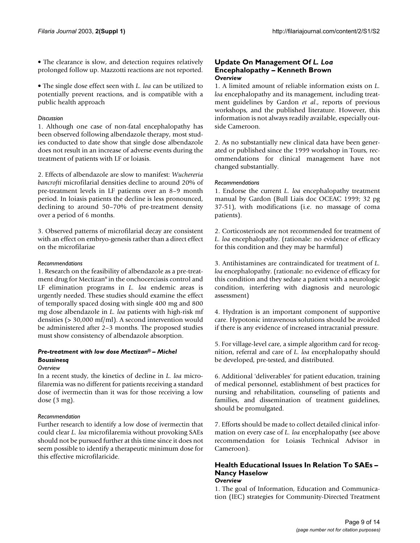• The clearance is slow, and detection requires relatively prolonged follow up. Mazzotti reactions are not reported.

• The single dose effect seen with *L. loa* can be utilized to potentially prevent reactions, and is compatible with a public health approach

#### *Discussion*

1. Although one case of non-fatal encephalopathy has been observed following albendazole therapy, most studies conducted to date show that single dose albendazole does not result in an increase of adverse events during the treatment of patients with LF or loiasis.

2. Effects of albendazole are slow to manifest: *Wuchereria bancrofti* microfilarial densities decline to around 20% of pre-treatment levels in LF patients over an 8–9 month period. In loiasis patients the decline is less pronounced, declining to around 50–70% of pre-treatment density over a period of 6 months.

3. Observed patterns of microfilarial decay are consistent with an effect on embryo-genesis rather than a direct effect on the microfilariae

#### *Recommendations*

1. Research on the feasibility of albendazole as a pre-treatment drug for Mectizan® in the onchocerciasis control and LF elimination programs in *L. loa* endemic areas is urgently needed. These studies should examine the effect of temporally spaced dosing with single 400 mg and 800 mg dose albendazole in *L. loa* patients with high-risk mf densities (> 30,000 mf/ml). A second intervention would be administered after 2–3 months. The proposed studies must show consistency of albendazole absorption.

## *Pre-treatment with low dose Mectizan® – Michel Boussinesq*

#### *Overview*

In a recent study, the kinetics of decline in *L. loa* microfilaremia was no different for patients receiving a standard dose of ivermectin than it was for those receiving a low dose (3 mg).

#### *Recommendation*

Further research to identify a low dose of ivermectin that could clear *L. loa* microfilaremia without provoking SAEs should not be pursued further at this time since it does not seem possible to identify a therapeutic minimum dose for this effective microfilaricide.

#### **Update On Management Of** *L. Loa*  **Encephalopathy – Kenneth Brown** *Overview*

1. A limited amount of reliable information exists on *L. loa* encephalopathy and its management, including treatment guidelines by Gardon *et al*., reports of previous workshops, and the published literature. However, this information is not always readily available, especially outside Cameroon.

2. As no substantially new clinical data have been generated or published since the 1999 workshop in Tours, recommendations for clinical management have not changed substantially.

#### *Recommendations*

1. Endorse the current *L. loa* encephalopathy treatment manual by Gardon (Bull Liais doc OCEAC 1999; 32 pg 37-51), with modifications (i.e. no massage of coma patients).

2. Corticosteriods are not recommended for treatment of *L. loa* encephalopathy. (rationale: no evidence of efficacy for this condition and they may be harmful)

3. Antihistamines are contraindicated for treatment of *L. loa* encephalopathy. (rationale: no evidence of efficacy for this condition and they sedate a patient with a neurologic condition, interfering with diagnosis and neurologic assessment)

4. Hydration is an important component of supportive care. Hypotonic intravenous solutions should be avoided if there is any evidence of increased intracranial pressure.

5. For village-level care, a simple algorithm card for recognition, referral and care of *L. loa* encephalopathy should be developed, pre-tested, and distributed.

6. Additional 'deliverables' for patient education, training of medical personnel, establishment of best practices for nursing and rehabilitation, counseling of patients and families, and dissemination of treatment guidelines, should be promulgated.

7. Efforts should be made to collect detailed clinical information on every case of *L. loa* encephalopathy (see above recommendation for Loiasis Technical Advisor in Cameroon).

#### **Health Educational Issues In Relation To SAEs – Nancy Haselow** *Overview*

1. The goal of Information, Education and Communication (IEC) strategies for Community-Directed Treatment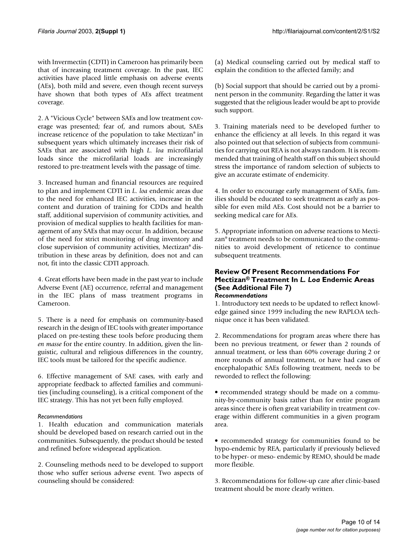with Invermectin (CDTI) in Cameroon has primarily been that of increasing treatment coverage. In the past, IEC activities have placed little emphasis on adverse events (AEs), both mild and severe, even though recent surveys have shown that both types of AEs affect treatment coverage.

2. A "Vicious Cycle" between SAEs and low treatment coverage was presented; fear of, and rumors about, SAEs increase reticence of the population to take Mectizan® in subsequent years which ultimately increases their risk of SAEs that are associated with high *L. loa* microfilarial loads since the microfilarial loads are increasingly restored to pre-treatment levels with the passage of time.

3. Increased human and financial resources are required to plan and implement CDTI in *L. loa* endemic areas due to the need for enhanced IEC activities, increase in the content and duration of training for CDDs and health staff, additional supervision of community activities, and provision of medical supplies to health facilities for management of any SAEs that may occur. In addition, because of the need for strict monitoring of drug inventory and close supervision of community activities, Mectizan® distribution in these areas by definition, does not and can not, fit into the classic CDTI approach.

4. Great efforts have been made in the past year to include Adverse Event (AE) occurrence, referral and management in the IEC plans of mass treatment programs in Cameroon.

5. There is a need for emphasis on community-based research in the design of IEC tools with greater importance placed on pre-testing these tools before producing them *en masse* for the entire country. In addition, given the linguistic, cultural and religious differences in the country, IEC tools must be tailored for the specific audience.

6. Effective management of SAE cases, with early and appropriate feedback to affected families and communities (including counseling), is a critical component of the IEC strategy. This has not yet been fully employed.

## *Recommendations*

1. Health education and communication materials should be developed based on research carried out in the communities. Subsequently, the product should be tested and refined before widespread application.

2. Counseling methods need to be developed to support those who suffer serious adverse event. Two aspects of counseling should be considered:

(a) Medical counseling carried out by medical staff to explain the condition to the affected family; and

(b) Social support that should be carried out by a prominent person in the community. Regarding the latter it was suggested that the religious leader would be apt to provide such support.

3. Training materials need to be developed further to enhance the efficiency at all levels. In this regard it was also pointed out that selection of subjects from communities for carrying out REA is not always random. It is recommended that training of health staff on this subject should stress the importance of random selection of subjects to give an accurate estimate of endemicity.

4. In order to encourage early management of SAEs, families should be educated to seek treatment as early as possible for even mild AEs. Cost should not be a barrier to seeking medical care for AEs.

5. Appropriate information on adverse reactions to Mectizan® treatment needs to be communicated to the communities to avoid development of reticence to continue subsequent treatments.

#### **Review Of Present Recommendations For Mectizan® Treatment In** *L. Loa* **Endemic Areas (See Additional File 7)** *Recommendations*

1. Introductory text needs to be updated to reflect knowledge gained since 1999 including the new RAPLOA technique once it has been validated.

2. Recommendations for program areas where there has been no previous treatment, or fewer than 2 rounds of annual treatment, or less than 60% coverage during 2 or more rounds of annual treatment, or have had cases of encephalopathic SAEs following treatment, needs to be reworded to reflect the following:

• recommended strategy should be made on a community-by-community basis rather than for entire program areas since there is often great variability in treatment coverage within different communities in a given program area.

• recommended strategy for communities found to be hypo-endemic by REA, particularly if previously believed to be hyper- or meso- endemic by REMO, should be made more flexible.

3. Recommendations for follow-up care after clinic-based treatment should be more clearly written.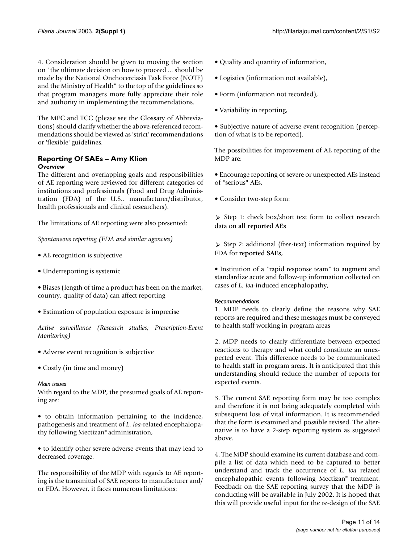4. Consideration should be given to moving the section on "the ultimate decision on how to proceed ... should be made by the National Onchocerciasis Task Force (NOTF) and the Ministry of Health" to the top of the guidelines so that program managers more fully appreciate their role and authority in implementing the recommendations.

The MEC and TCC (please see the Glossary of Abbreviations) should clarify whether the above-referenced recommendations should be viewed as 'strict' recommendations or 'flexible' guidelines.

## **Reporting Of SAEs – Amy Klion** *Overview*

The different and overlapping goals and responsibilities of AE reporting were reviewed for different categories of institutions and professionals (Food and Drug Administration (FDA) of the U.S., manufacturer/distributor, health professionals and clinical researchers).

The limitations of AE reporting were also presented:

*Spontaneous reporting (FDA and similar agencies)*

- AE recognition is subjective
- Underreporting is systemic
- Biases (length of time a product has been on the market, country, quality of data) can affect reporting
- Estimation of population exposure is imprecise

*Active surveillance (Research studies; Prescription-Event Monitoring)*

- Adverse event recognition is subjective
- Costly (in time and money)

## *Main issues*

With regard to the MDP, the presumed goals of AE reporting are:

• to obtain information pertaining to the incidence, pathogenesis and treatment of *L. loa*-related encephalopathy following Mectizan® administration,

• to identify other severe adverse events that may lead to decreased coverage.

The responsibility of the MDP with regards to AE reporting is the transmittal of SAE reports to manufacturer and/ or FDA. However, it faces numerous limitations:

- Quality and quantity of information,
- Logistics (information not available),
- Form (information not recorded),
- Variability in reporting,
- Subjective nature of adverse event recognition (perception of what is to be reported).

The possibilities for improvement of AE reporting of the MDP are:

• Encourage reporting of severe or unexpected AEs instead of "serious" AEs,

• Consider two-step form:

▶ Step 1: check box/short text form to collect research data on **all reported AEs**

▶ Step 2: additional (free-text) information required by FDA for **reported SAEs,**

• Institution of a "rapid response team" to augment and standardize acute and follow-up information collected on cases of *L. loa*-induced encephalopathy,

## *Recommendations*

1. MDP needs to clearly define the reasons why SAE reports are required and these messages must be conveyed to health staff working in program areas

2. MDP needs to clearly differentiate between expected reactions to therapy and what could constitute an unexpected event. This difference needs to be communicated to health staff in program areas. It is anticipated that this understanding should reduce the number of reports for expected events.

3. The current SAE reporting form may be too complex and therefore it is not being adequately completed with subsequent loss of vital information. It is recommended that the form is examined and possible revised. The alternative is to have a 2-step reporting system as suggested above.

4. The MDP should examine its current database and compile a list of data which need to be captured to better understand and track the occurrence of *L. loa* related encephalopathic events following Mectizan® treatment. Feedback on the SAE reporting survey that the MDP is conducting will be available in July 2002. It is hoped that this will provide useful input for the re-design of the SAE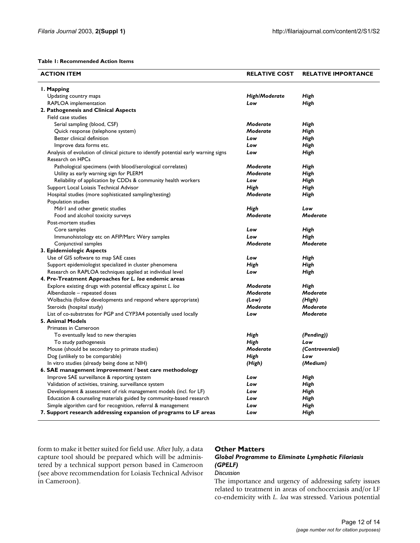#### **Table 1: Recommended Action Items**

| <b>ACTION ITEM</b>                                                                  | <b>RELATIVE COST</b> | <b>RELATIVE IMPORTANCE</b> |
|-------------------------------------------------------------------------------------|----------------------|----------------------------|
| I. Mapping                                                                          |                      |                            |
| Updating country maps                                                               | High/Moderate        | High                       |
| RAPLOA implementation                                                               | Low                  | High                       |
| 2. Pathogenesis and Clinical Aspects                                                |                      |                            |
| Field case studies                                                                  |                      |                            |
| Serial sampling (blood, CSF)                                                        | Moderate             | High                       |
| Quick response (telephone system)                                                   | Moderate             | High                       |
| Better clinical definition                                                          | Low                  | High                       |
| Improve data forms etc.                                                             | Low                  | High                       |
| Analysis of evolution of clinical picture to identify potential early warning signs | Low                  | High                       |
| Research on HPCs                                                                    |                      |                            |
| Pathological specimens (with blood/serological correlates)                          | Moderate             | High                       |
| Utility as early warning sign for PLERM                                             | Moderate             | High                       |
| Reliability of application by CDDs & community health workers                       | Low                  | High                       |
| Support Local Loiasis Technical Advisor                                             | High                 | High                       |
| Hospital studies (more sophisticated sampling/testing)                              | Moderate             | High                       |
| Population studies                                                                  |                      |                            |
| Mdr1 and other genetic studies                                                      | High                 | Low                        |
| Food and alcohol toxicity surveys                                                   | Moderate             | Moderate                   |
| Post-mortem studies                                                                 |                      |                            |
| Core samples                                                                        | Low                  | High                       |
| Immunohistology etc on AFIP/Marc Wéry samples                                       | Low                  | High                       |
| Conjunctival samples                                                                | Moderate             | Moderate                   |
| 3. Epidemiologic Aspects                                                            |                      |                            |
| Use of GIS software to map SAE cases                                                | Low                  | High                       |
| Support epidemiologist specialized in cluster phenomena                             | High                 | High                       |
| Research on RAPLOA techniques applied at individual level                           | Low                  | High                       |
| 4. Pre-Treatment Approaches for L. loa endemic areas                                |                      |                            |
| Explore existing drugs with potential efficacy against L. loa                       | Moderate             | High                       |
| Albendazole - repeated doses                                                        | Moderate             | Moderate                   |
| Wolbachia (follow developments and respond where appropriate)                       | (Low)                | (High)                     |
| Steroids (hospital study)                                                           | Moderate             | Moderate                   |
| List of co-substrates for PGP and CYP3A4 potentially used locally                   | Low                  | Moderate                   |
| 5. Animal Models                                                                    |                      |                            |
| Primates in Cameroon                                                                |                      |                            |
| To eventually lead to new therapies                                                 | High                 | (Pending))                 |
| To study pathogenesis                                                               | High                 | Low                        |
| Mouse (should be secondary to primate studies)                                      | Moderate             | (Controversial)            |
| Dog (unlikely to be comparable)                                                     | High                 | Low                        |
| In vitro studies (already being done at NIH)                                        | (High)               | (Medium)                   |
| 6. SAE management improvement / best care methodology                               |                      |                            |
| Improve SAE surveillance & reporting system                                         | Low                  | High                       |
| Validation of activities, training, surveillance system                             | Low                  | High                       |
| Development & assessment of risk management models (incl. for LF)                   | Low                  | High                       |
| Education & counseling materials guided by community-based research                 | Low                  | High                       |
| Simple algorithm card for recognition, referral & management                        | Low                  | High                       |
| 7. Support research addressing expansion of programs to LF areas                    | Low                  | High                       |

form to make it better suited for field use. After July, a data capture tool should be prepared which will be administered by a technical support person based in Cameroon (see above recommendation for Loiasis Technical Advisor in Cameroon).

## **Other Matters**

#### *Global Programme to Eliminate Lymphatic Filariasis (GPELF) Discussion*

The importance and urgency of addressing safety issues related to treatment in areas of onchocerciasis and/or LF co-endemicity with *L. loa* was stressed. Various potential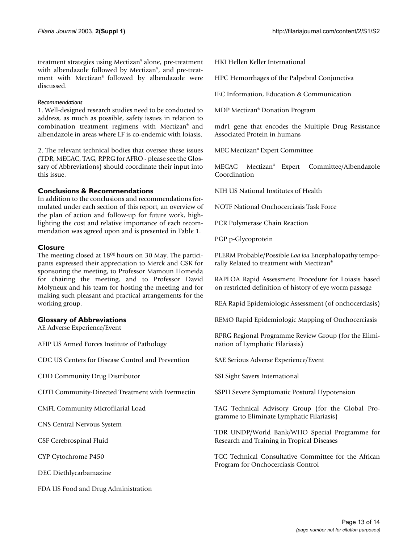treatment strategies using Mectizan® alone, pre-treatment with albendazole followed by Mectizan®, and pre-treatment with Mectizan® followed by albendazole were discussed.

#### *Recommendations*

1. Well-designed research studies need to be conducted to address, as much as possible, safety issues in relation to combination treatment regimens with Mectizan® and albendazole in areas where LF is co-endemic with loiasis.

2. The relevant technical bodies that oversee these issues (TDR, MECAC, TAG, RPRG for AFRO - please see the Glossary of Abbreviations) should coordinate their input into this issue.

## **Conclusions & Recommendations**

In addition to the conclusions and recommendations formulated under each section of this report, an overview of the plan of action and follow-up for future work, highlighting the cost and relative importance of each recommendation was agreed upon and is presented in Table 1.

## **Closure**

The meeting closed at 1800 hours on 30 May. The participants expressed their appreciation to Merck and GSK for sponsoring the meeting, to Professor Mamoun Homeida for chairing the meeting, and to Professor David Molyneux and his team for hosting the meeting and for making such pleasant and practical arrangements for the working group.

## **Glossary of Abbreviations**

AE Adverse Experience/Event

AFIP US Armed Forces Institute of Pathology

CDC US Centers for Disease Control and Prevention

CDD Community Drug Distributor

CDTI Community-Directed Treatment with Ivermectin

CMFL Community Microfilarial Load

CNS Central Nervous System

CSF Cerebrospinal Fluid

CYP Cytochrome P450

DEC Diethlycarbamazine

FDA US Food and Drug Administration

HKI Hellen Keller International

HPC Hemorrhages of the Palpebral Conjunctiva

IEC Information, Education & Communication

MDP Mectizan® Donation Program

mdr1 gene that encodes the Multiple Drug Resistance Associated Protein in humans

MEC Mectizan® Expert Committee

MECAC Mectizan® Expert Committee/Albendazole Coordination

NIH US National Institutes of Health

NOTF National Onchocerciasis Task Force

PCR Polymerase Chain Reaction

PGP p-Glycoprotein

PLERM Probable/Possible *Loa loa* Encephalopathy temporally Related to treatment with Mectizan®

RAPLOA Rapid Assessment Procedure for Loiasis based on restricted definition of history of eye worm passage

REA Rapid Epidemiologic Assessment (of onchocerciasis)

REMO Rapid Epidemiologic Mapping of Onchocerciasis

RPRG Regional Programme Review Group (for the Elimination of Lymphatic Filariasis)

SAE Serious Adverse Experience/Event

SSI Sight Savers International

SSPH Severe Symptomatic Postural Hypotension

TAG Technical Advisory Group (for the Global Programme to Eliminate Lymphatic Filariasis)

TDR UNDP/World Bank/WHO Special Programme for Research and Training in Tropical Diseases

TCC Technical Consultative Committee for the African Program for Onchocerciasis Control